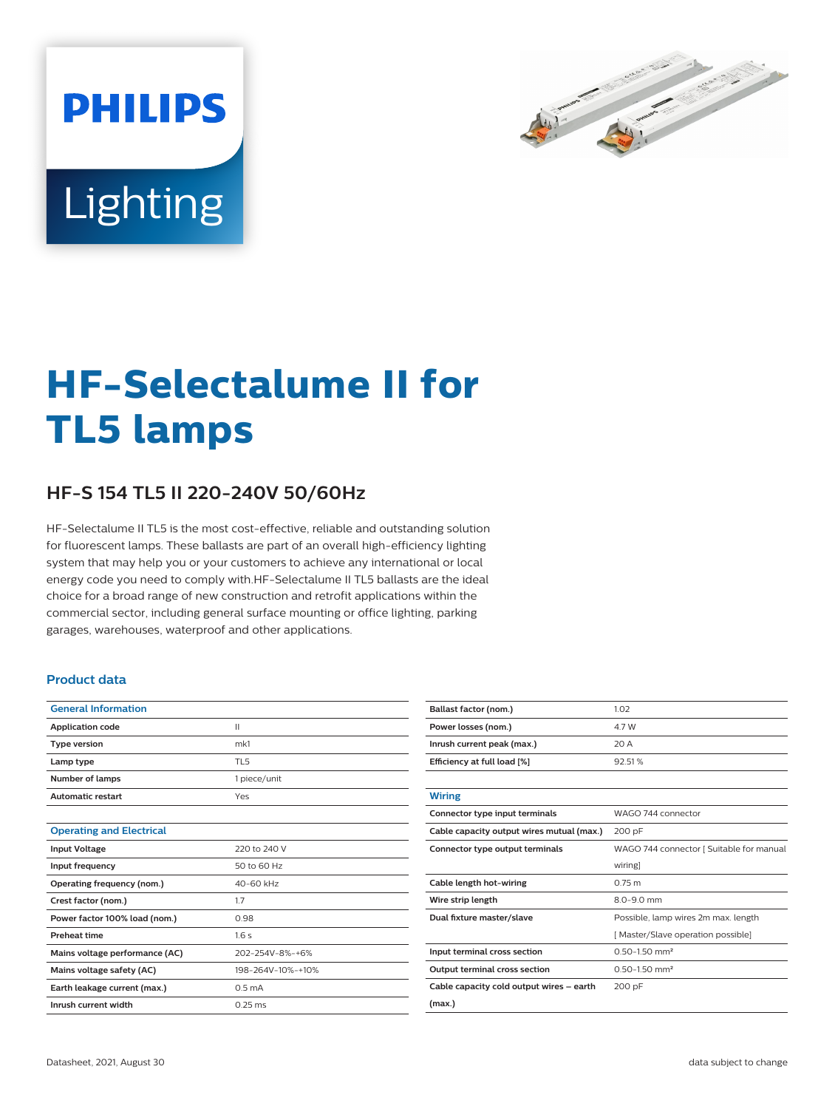

# Lighting

**PHILIPS** 

# **HF-Selectalume II for TL5 lamps**

## **HF-S 154 TL5 II 220-240V 50/60Hz**

HF-Selectalume II TL5 is the most cost-effective, reliable and outstanding solution for fluorescent lamps. These ballasts are part of an overall high-efficiency lighting system that may help you or your customers to achieve any international or local energy code you need to comply with.HF-Selectalume II TL5 ballasts are the ideal choice for a broad range of new construction and retrofit applications within the commercial sector, including general surface mounting or office lighting, parking garages, warehouses, waterproof and other applications.

#### **Product data**

| <b>General Information</b>      |                    |  |  |  |  |
|---------------------------------|--------------------|--|--|--|--|
| <b>Application code</b>         | $\mathbf{II}$      |  |  |  |  |
| <b>Type version</b>             | mk1                |  |  |  |  |
| Lamp type                       | TL <sub>5</sub>    |  |  |  |  |
| Number of lamps                 | 1 piece/unit       |  |  |  |  |
| <b>Automatic restart</b>        | Yes                |  |  |  |  |
|                                 |                    |  |  |  |  |
| <b>Operating and Electrical</b> |                    |  |  |  |  |
| <b>Input Voltage</b>            | 220 to 240 V       |  |  |  |  |
| Input frequency                 | 50 to 60 Hz        |  |  |  |  |
| Operating frequency (nom.)      | 40-60 kHz          |  |  |  |  |
| Crest factor (nom.)             | 1.7                |  |  |  |  |
| Power factor 100% load (nom.)   | 0.98               |  |  |  |  |
| <b>Preheat time</b>             | 1.6s               |  |  |  |  |
| Mains voltage performance (AC)  | 202-254V-8%-+6%    |  |  |  |  |
| Mains voltage safety (AC)       | 198-264V-10%-+10%  |  |  |  |  |
| Earth leakage current (max.)    | 0.5 <sub>m</sub> A |  |  |  |  |
| Inrush current width            | $0.25$ ms          |  |  |  |  |

| Ballast factor (nom.)                     | 1.02                                     |  |  |  |
|-------------------------------------------|------------------------------------------|--|--|--|
| Power losses (nom.)                       | 4.7 W                                    |  |  |  |
| Inrush current peak (max.)                | 20 A                                     |  |  |  |
| Efficiency at full load [%]               | 92.51%                                   |  |  |  |
|                                           |                                          |  |  |  |
| <b>Wiring</b>                             |                                          |  |  |  |
| Connector type input terminals            | WAGO 744 connector                       |  |  |  |
| Cable capacity output wires mutual (max.) | 200 pF                                   |  |  |  |
| Connector type output terminals           | WAGO 744 connector [ Suitable for manual |  |  |  |
|                                           | wiring]                                  |  |  |  |
|                                           |                                          |  |  |  |
| Cable length hot-wiring                   | 0.75 m                                   |  |  |  |
| Wire strip length                         | $8.0 - 9.0$ mm                           |  |  |  |
| Dual fixture master/slave                 | Possible, lamp wires 2m max. length      |  |  |  |
|                                           | [ Master/Slave operation possible]       |  |  |  |
| Input terminal cross section              | $0.50 - 1.50$ mm <sup>2</sup>            |  |  |  |
| <b>Output terminal cross section</b>      | $0.50 - 1.50$ mm <sup>2</sup>            |  |  |  |
| Cable capacity cold output wires - earth  | 200 pF                                   |  |  |  |
| (max.)                                    |                                          |  |  |  |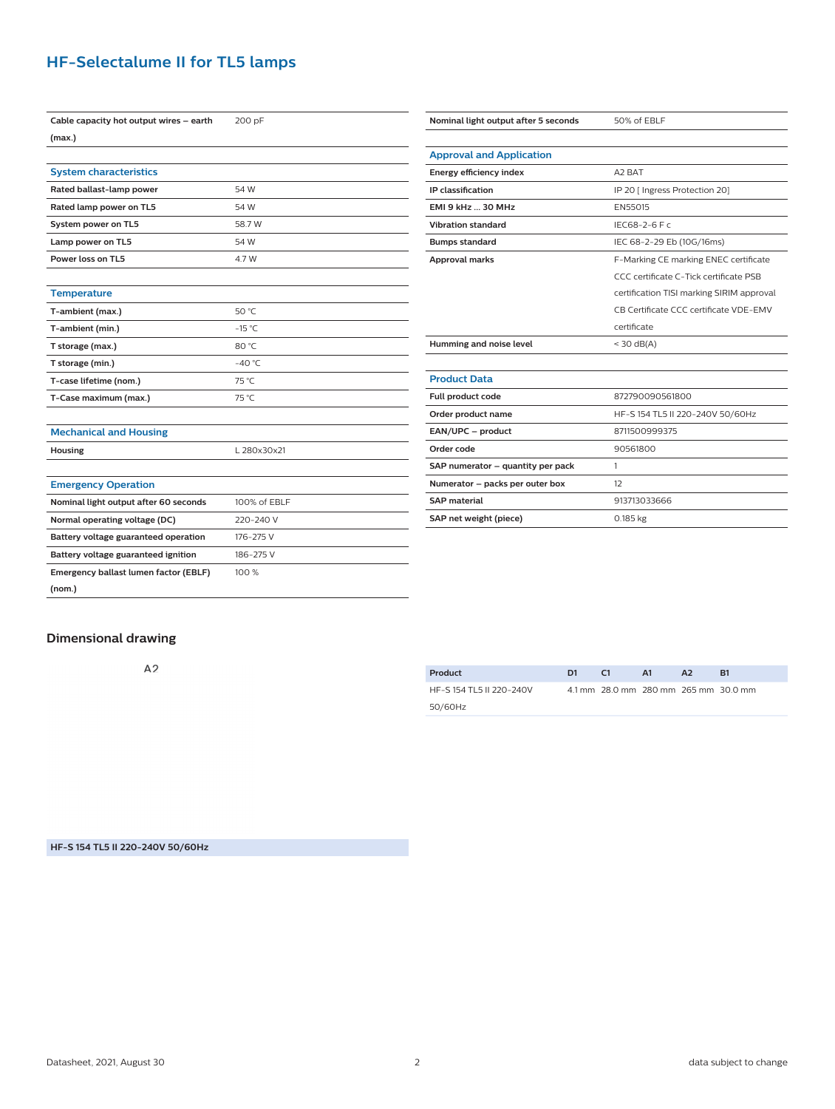### **HF-Selectalume II for TL5 lamps**

| Cable capacity hot output wires - earth | 200 pF       |  |  |
|-----------------------------------------|--------------|--|--|
| (max.)                                  |              |  |  |
|                                         |              |  |  |
| <b>System characteristics</b>           |              |  |  |
| Rated ballast-lamp power                | 54 W         |  |  |
| Rated lamp power on TL5                 | 54 W         |  |  |
| System power on TL5                     | 58.7 W       |  |  |
| Lamp power on TL5                       | 54 W         |  |  |
| Power loss on TL5                       | 4.7 W        |  |  |
|                                         |              |  |  |
| <b>Temperature</b>                      |              |  |  |
| T-ambient (max.)                        | 50 °C        |  |  |
| T-ambient (min.)                        | $-15 °C$     |  |  |
| T storage (max.)                        | 80 °C        |  |  |
| T storage (min.)                        | $-40 °C$     |  |  |
| T-case lifetime (nom.)                  | 75 °C        |  |  |
| T-Case maximum (max.)                   | 75 °C        |  |  |
|                                         |              |  |  |
| <b>Mechanical and Housing</b>           |              |  |  |
| Housing                                 | L 280x30x21  |  |  |
|                                         |              |  |  |
| <b>Emergency Operation</b>              |              |  |  |
| Nominal light output after 60 seconds   | 100% of EBLF |  |  |
| Normal operating voltage (DC)           | 220-240 V    |  |  |
| Battery voltage guaranteed operation    | 176-275 V    |  |  |
| Battery voltage guaranteed ignition     | 186-275 V    |  |  |
| Emergency ballast lumen factor (EBLF)   | 100 %        |  |  |
| (nom.)                                  |              |  |  |

| Nominal light output after 5 seconds | 50% of EBLF                               |  |  |  |  |
|--------------------------------------|-------------------------------------------|--|--|--|--|
|                                      |                                           |  |  |  |  |
| <b>Approval and Application</b>      |                                           |  |  |  |  |
| Energy efficiency index              | A <sub>2</sub> BAT                        |  |  |  |  |
| <b>IP</b> classification             | IP 20 [ Ingress Protection 20]            |  |  |  |  |
| <b>EMI 9 kHz  30 MHz</b>             | EN55015                                   |  |  |  |  |
| <b>Vibration standard</b>            | IEC68-2-6 F c                             |  |  |  |  |
| <b>Bumps standard</b>                | IEC 68-2-29 Eb (10G/16ms)                 |  |  |  |  |
| <b>Approval marks</b>                | F-Marking CE marking ENEC certificate     |  |  |  |  |
|                                      | CCC certificate C-Tick certificate PSB    |  |  |  |  |
|                                      | certification TISI marking SIRIM approval |  |  |  |  |
|                                      | CB Certificate CCC certificate VDE-EMV    |  |  |  |  |
|                                      | certificate                               |  |  |  |  |
| Humming and noise level              | $<$ 30 dB(A)                              |  |  |  |  |
|                                      |                                           |  |  |  |  |
| <b>Product Data</b>                  |                                           |  |  |  |  |
| Full product code                    | 872790090561800                           |  |  |  |  |
| Order product name                   | HF-S 154 TL5 II 220-240V 50/60Hz          |  |  |  |  |
| EAN/UPC - product                    | 8711500999375                             |  |  |  |  |
| Order code                           | 90561800                                  |  |  |  |  |
| SAP numerator - quantity per pack    | 1                                         |  |  |  |  |
| Numerator - packs per outer box      | 12                                        |  |  |  |  |
| <b>SAP material</b>                  | 913713033666                              |  |  |  |  |
| SAP net weight (piece)               | $0.185$ kg                                |  |  |  |  |

#### **Dimensional drawing**

 $A<sub>2</sub>$ 

| Product                 | D1 | C1                                     | <b>A1</b> | A <sub>2</sub> | R1 |
|-------------------------|----|----------------------------------------|-----------|----------------|----|
| HF-S154 TL5 II 220-240V |    | 4.1 mm 28.0 mm 28.0 mm 26.5 mm 30.0 mm |           |                |    |
| 50/60Hz                 |    |                                        |           |                |    |

**HF-S 154 TL5 II 220-240V 50/60Hz**